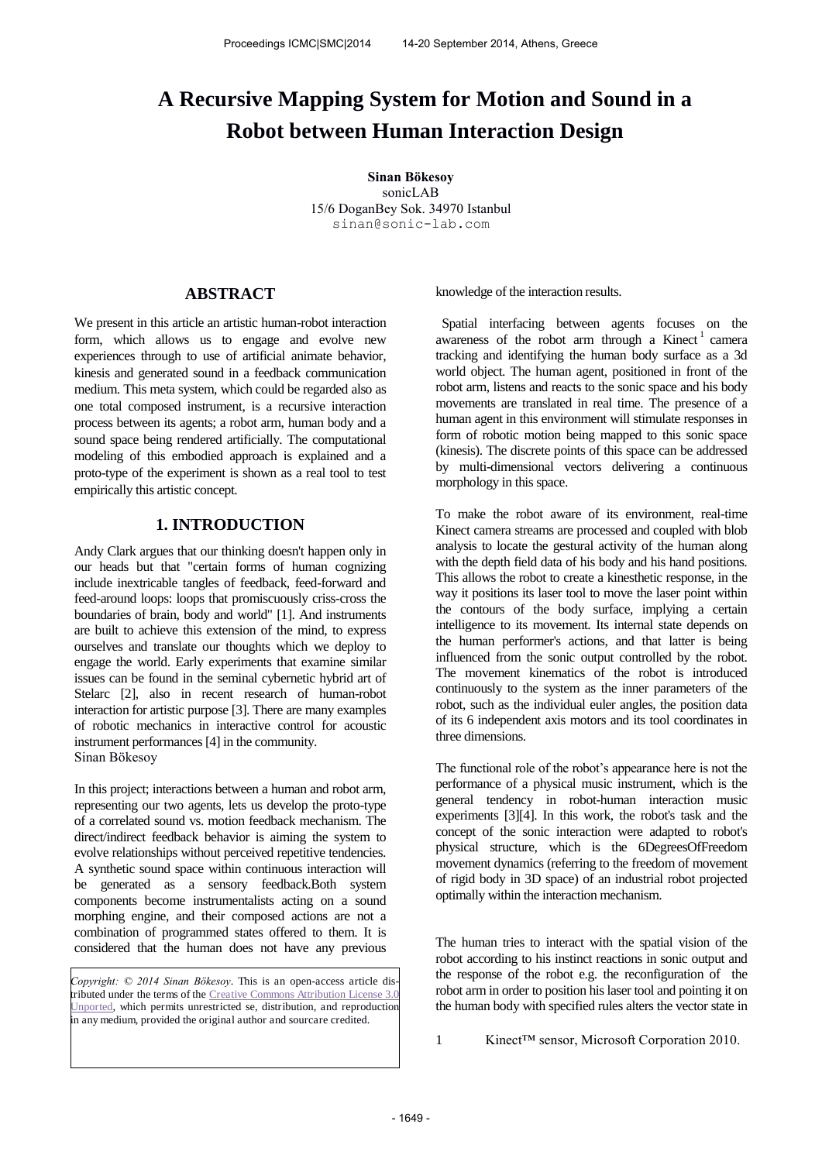# **A Recursive Mapping System for Motion and Sound in a Robot between Human Interaction Design**

**Sinan Bökesoy** sonicLAB 15/6 DoganBey Sok. 34970 Istanbul sinan@sonic-lab.com

# **ABSTRACT**

We present in this article an artistic human-robot interaction form, which allows us to engage and evolve new experiences through to use of artificial animate behavior, kinesis and generated sound in a feedback communication medium. This meta system, which could be regarded also as one total composed instrument, is a recursive interaction process between its agents; a robot arm, human body and a sound space being rendered artificially. The computational modeling of this embodied approach is explained and a proto-type of the experiment is shown as a real tool to test empirically this artistic concept.

# **1. INTRODUCTION**

Andy Clark argues that our thinking doesn't happen only in our heads but that "certain forms of human cognizing include inextricable tangles of feedback, feed-forward and feed-around loops: loops that promiscuously criss-cross the boundaries of brain, body and world" [1]. And instruments are built to achieve this extension of the mind, to express ourselves and translate our thoughts which we deploy to engage the world. Early experiments that examine similar issues can be found in the seminal cybernetic hybrid art of Stelarc [2], also in recent research of human-robot interaction for artistic purpose [3]. There are many examples of robotic mechanics in interactive control for acoustic instrument performances [4] in the community. Sinan Bökesoy

In this project; interactions between a human and robot arm, representing our two agents, lets us develop the proto-type of a correlated sound vs. motion feedback mechanism. The direct/indirect feedback behavior is aiming the system to evolve relationships without perceived repetitive tendencies. A synthetic sound space within continuous interaction will be generated as a sensory feedback.Both system components become instrumentalists acting on a sound morphing engine, and their composed actions are not a combination of programmed states offered to them. It is considered that the human does not have any previous

*Copyright: © 2014 Sinan Bökesoy*. This is an open-access article distributed under the terms of the Creative Commons Attribution License 3. [Unported,](http://creativecommons.org/licenses/by/3.0/) which permits unrestricted se, distribution, and reproduction in any medium, provided the original author and sourcare credited.

knowledge of the interaction results.

 Spatial interfacing between agents focuses on the awareness of the robot arm through a Kinect<sup>1</sup> camera tracking and identifying the human body surface as a 3d world object. The human agent, positioned in front of the robot arm, listens and reacts to the sonic space and his body movements are translated in real time. The presence of a human agent in this environment will stimulate responses in form of robotic motion being mapped to this sonic space (kinesis). The discrete points of this space can be addressed by multi-dimensional vectors delivering a continuous morphology in this space.

To make the robot aware of its environment, real-time Kinect camera streams are processed and coupled with blob analysis to locate the gestural activity of the human along with the depth field data of his body and his hand positions. This allows the robot to create a kinesthetic response, in the way it positions its laser tool to move the laser point within the contours of the body surface, implying a certain intelligence to its movement. Its internal state depends on the human performer's actions, and that latter is being influenced from the sonic output controlled by the robot. The movement kinematics of the robot is introduced continuously to the system as the inner parameters of the robot, such as the individual euler angles, the position data of its 6 independent axis motors and its tool coordinates in three dimensions.

The functional role of the robot's appearance here is not the performance of a physical music instrument, which is the general tendency in robot-human interaction music experiments [3][4]. In this work, the robot's task and the concept of the sonic interaction were adapted to robot's physical structure, which is the 6DegreesOfFreedom movement dynamics (referring to the freedom of movement of rigid body in 3D space) of an industrial robot projected optimally within the interaction mechanism.

The human tries to interact with the spatial vision of the robot according to his instinct reactions in sonic output and the response of the robot e.g. the reconfiguration of the robot arm in order to position his laser tool and pointing it on the human body with specified rules alters the vector state in

1 Kinect™ sensor, Microsoft Corporation 2010.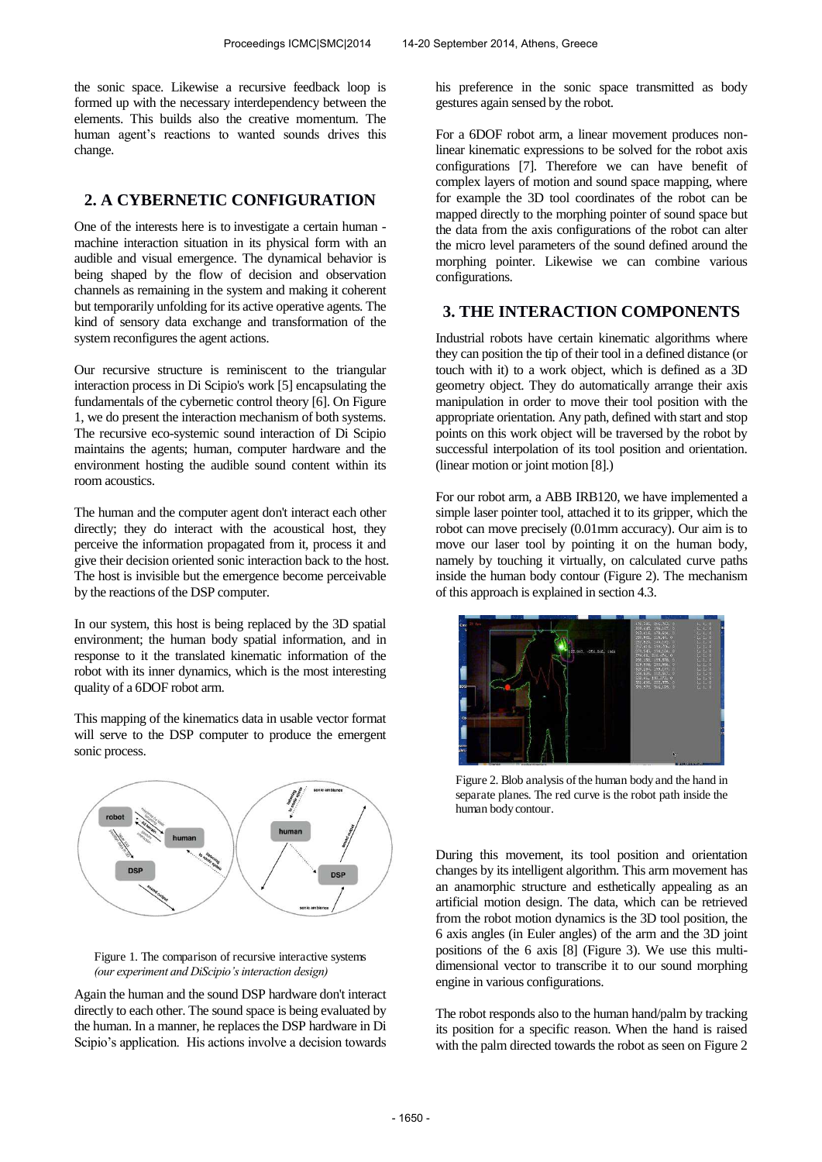the sonic space. Likewise a recursive feedback loop is formed up with the necessary interdependency between the elements. This builds also the creative momentum. The human agent's reactions to wanted sounds drives this change.

# **2. A CYBERNETIC CONFIGURATION**

One of the interests here is to investigate a certain human machine interaction situation in its physical form with an audible and visual emergence. The dynamical behavior is being shaped by the flow of decision and observation channels as remaining in the system and making it coherent but temporarily unfolding for its active operative agents. The kind of sensory data exchange and transformation of the system reconfigures the agent actions.

Our recursive structure is reminiscent to the triangular interaction process in Di Scipio's work [5] encapsulating the fundamentals of the cybernetic control theory [6]. On Figure 1, we do present the interaction mechanism of both systems. The recursive eco-systemic sound interaction of Di Scipio maintains the agents; human, computer hardware and the environment hosting the audible sound content within its room acoustics.

The human and the computer agent don't interact each other directly; they do interact with the acoustical host, they perceive the information propagated from it, process it and give their decision oriented sonic interaction back to the host. The host is invisible but the emergence become perceivable by the reactions of the DSP computer.

In our system, this host is being replaced by the 3D spatial environment; the human body spatial information, and in response to it the translated kinematic information of the robot with its inner dynamics, which is the most interesting quality of a 6DOF robot arm.

This mapping of the kinematics data in usable vector format will serve to the DSP computer to produce the emergent sonic process.





Again the human and the sound DSP hardware don't interact directly to each other. The sound space is being evaluated by the human. In a manner, he replaces the DSP hardware in Di Scipio's application. His actions involve a decision towards his preference in the sonic space transmitted as body gestures again sensed by the robot.

For a 6DOF robot arm, a linear movement produces nonlinear kinematic expressions to be solved for the robot axis configurations [7]. Therefore we can have benefit of complex layers of motion and sound space mapping, where for example the 3D tool coordinates of the robot can be mapped directly to the morphing pointer of sound space but the data from the axis configurations of the robot can alter the micro level parameters of the sound defined around the morphing pointer. Likewise we can combine various configurations.

# **3. THE INTERACTION COMPONENTS**

Industrial robots have certain kinematic algorithms where they can position the tip of their tool in a defined distance (or touch with it) to a work object, which is defined as a 3D geometry object. They do automatically arrange their axis manipulation in order to move their tool position with the appropriate orientation. Any path, defined with start and stop points on this work object will be traversed by the robot by successful interpolation of its tool position and orientation. (linear motion or joint motion [8].)

For our robot arm, a ABB IRB120, we have implemented a simple laser pointer tool, attached it to its gripper, which the robot can move precisely (0.01mm accuracy). Our aim is to move our laser tool by pointing it on the human body, namely by touching it virtually, on calculated curve paths inside the human body contour (Figure 2). The mechanism of this approach is explained in section 4.3.



Figure 2. Blob analysis of the human body and the hand in separate planes. The red curve is the robot path inside the human body contour.

During this movement, its tool position and orientation changes by its intelligent algorithm. This arm movement has an anamorphic structure and esthetically appealing as an artificial motion design. The data, which can be retrieved from the robot motion dynamics is the 3D tool position, the 6 axis angles (in Euler angles) of the arm and the 3D joint positions of the 6 axis [8] (Figure 3). We use this multidimensional vector to transcribe it to our sound morphing engine in various configurations.

The robot responds also to the human hand/palm by tracking its position for a specific reason. When the hand is raised with the palm directed towards the robot as seen on Figure 2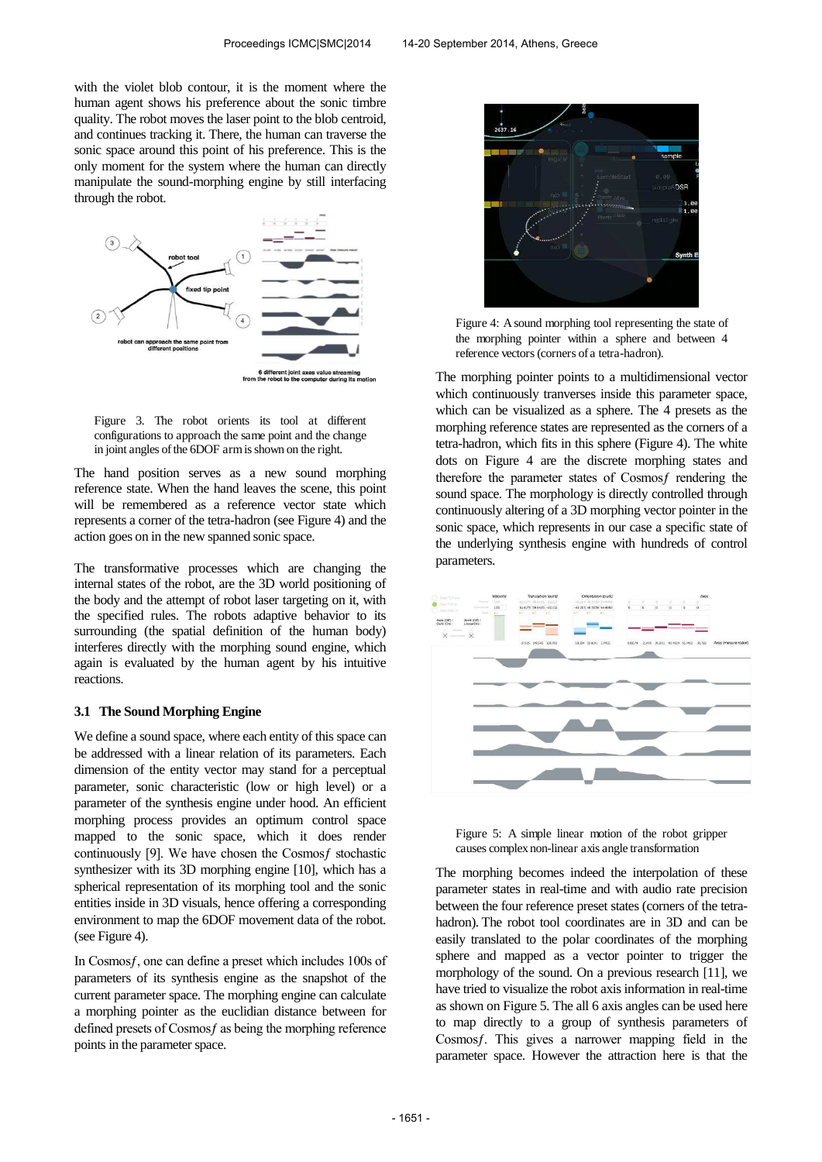with the violet blob contour, it is the moment where the human agent shows his preference about the sonic timbre quality. The robot moves the laser point to the blob centroid, and continues tracking it. There, the human can traverse the sonic space around this point of his preference. This is the only moment for the system where the human can directly manipulate the sound-morphing engine by still interfacing through the robot.



Figure 3. The robot orients its tool at different configurations to approach the same point and the change in joint angles of the 6DOF arm is shown on the right.

The hand position serves as a new sound morphing reference state. When the hand leaves the scene, this point will be remembered as a reference vector state which represents a corner of the tetra-hadron (see Figure 4) and the action goes on in the new spanned sonic space.

The transformative processes which are changing the internal states of the robot, are the 3D world positioning of the body and the attempt of robot laser targeting on it, with the specified rules. The robots adaptive behavior to its surrounding (the spatial definition of the human body) interferes directly with the morphing sound engine, which again is evaluated by the human agent by his intuitive reactions.

#### **3.1 The Sound Morphing Engine**

We define a sound space, where each entity of this space can be addressed with a linear relation of its parameters. Each dimension of the entity vector may stand for a perceptual parameter, sonic characteristic (low or high level) or a parameter of the synthesis engine under hood. An efficient morphing process provides an optimum control space mapped to the sonic space, which it does render continuously [9]. We have chosen the Cosmosf stochastic synthesizer with its 3D morphing engine [10], which has a spherical representation of its morphing tool and the sonic entities inside in 3D visuals, hence offering a corresponding environment to map the 6DOF movement data of the robot. (see Figure 4).

In Cosmos f, one can define a preset which includes 100s of parameters of its synthesis engine as the snapshot of the current parameter space. The morphing engine can calculate a morphing pointer as the euclidian distance between for defined presets of Cosmos f as being the morphing reference points in the parameter space.



Figure 4: A sound morphing tool representing the state of the morphing pointer within a sphere and between 4 reference vectors (corners of a tetra-hadron).

The morphing pointer points to a multidimensional vector which continuously tranverses inside this parameter space, which can be visualized as a sphere. The 4 presets as the morphing reference states are represented as the corners of a tetra-hadron, which fits in this sphere (Figure 4). The white dots on Figure 4 are the discrete morphing states and therefore the parameter states of Cosmos frendering the sound space. The morphology is directly controlled through continuously altering of a 3D morphing vector pointer in the sonic space, which represents in our case a specific state of the underlying synthesis engine with hundreds of control parameters.



Figure 5: A simple linear motion of the robot gripper causes complex non-linear axis angle transformation

The morphing becomes indeed the interpolation of these parameter states in real-time and with audio rate precision between the four reference preset states (corners of the tetrahadron). The robot tool coordinates are in 3D and can be easily translated to the polar coordinates of the morphing sphere and mapped as a vector pointer to trigger the morphology of the sound. On a previous research [11], we have tried to visualize the robot axis information in real-time as shown on Figure 5. The all 6 axis angles can be used here to map directly to a group of synthesis parameters of Cosmosƒ. This gives a narrower mapping field in the parameter space. However the attraction here is that the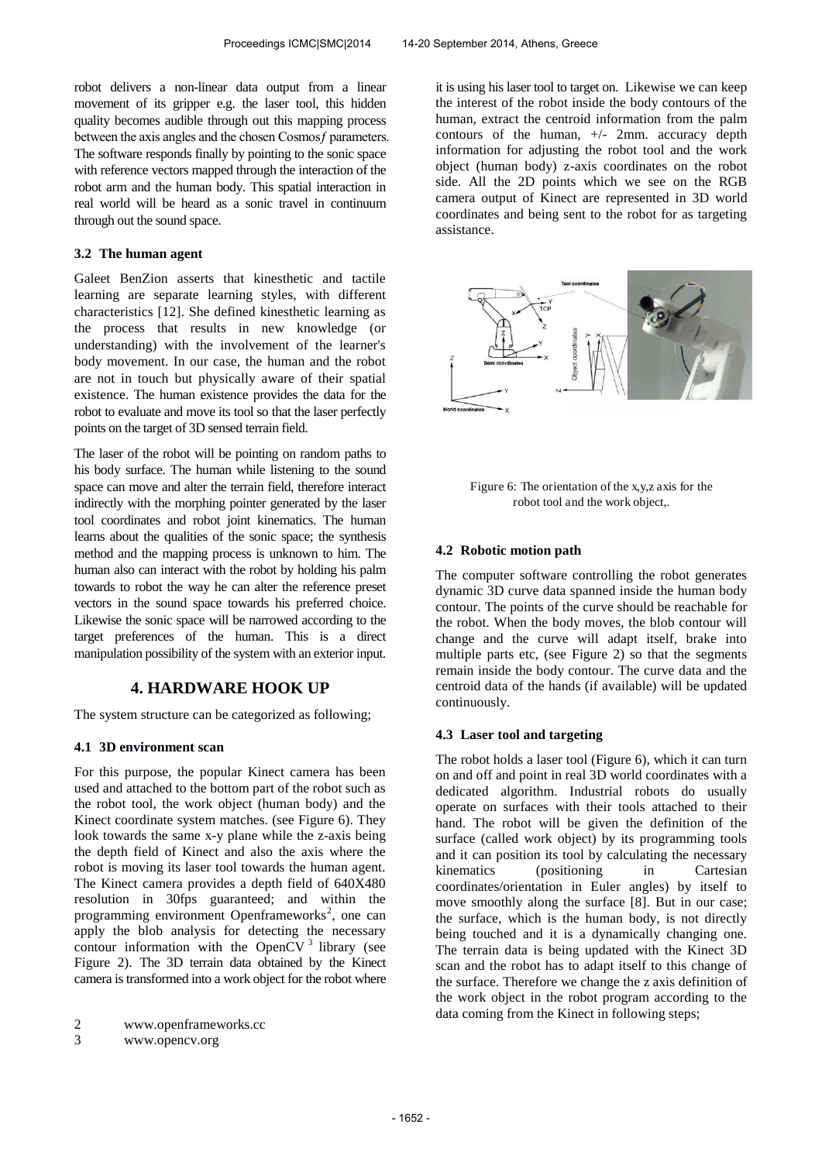robot delivers a non-linear data output from a linear movement of its gripper e.g. the laser tool, this hidden quality becomes audible through out this mapping process between the axis angles and the chosen Cosmos f parameters. The software responds finally by pointing to the sonic space with reference vectors mapped through the interaction of the robot arm and the human body. This spatial interaction in real world will be heard as a sonic travel in continuum through out the sound space.

### **3.2 The human agent**

Galeet BenZion asserts that kinesthetic and tactile learning are separate learning styles, with different characteristics [12]. She defined kinesthetic learning as the process that results in new knowledge (or understanding) with the involvement of the learner's body movement. In our case, the human and the robot are not in touch but physically aware of their spatial existence. The human existence provides the data for the robot to evaluate and move its tool so that the laser perfectly points on the target of 3D sensed terrain field.

The laser of the robot will be pointing on random paths to his body surface. The human while listening to the sound space can move and alter the terrain field, therefore interact indirectly with the morphing pointer generated by the laser tool coordinates and robot joint kinematics. The human learns about the qualities of the sonic space; the synthesis method and the mapping process is unknown to him. The human also can interact with the robot by holding his palm towards to robot the way he can alter the reference preset vectors in the sound space towards his preferred choice. Likewise the sonic space will be narrowed according to the target preferences of the human. This is a direct manipulation possibility of the system with an exterior input.

## **4. HARDWARE HOOK UP**

The system structure can be categorized as following;

#### **4.1 3D environment scan**

For this purpose, the popular Kinect camera has been used and attached to the bottom part of the robot such as the robot tool, the work object (human body) and the Kinect coordinate system matches. (see Figure 6). They look towards the same x-y plane while the z-axis being the depth field of Kinect and also the axis where the robot is moving its laser tool towards the human agent. The Kinect camera provides a depth field of 640X480 resolution in 30fps guaranteed; and within the programming environment Openframeworks<sup>2</sup>, one can apply the blob analysis for detecting the necessary contour information with the OpenCV $3$  library (see Figure 2). The 3D terrain data obtained by the Kinect camera is transformed into a work object for the robot where

3 www.opencv.org

it is using his laser tool to target on. Likewise we can keep the interest of the robot inside the body contours of the human, extract the centroid information from the palm contours of the human,  $+/-$  2mm. accuracy depth information for adjusting the robot tool and the work object (human body) z-axis coordinates on the robot side. All the 2D points which we see on the RGB camera output of Kinect are represented in 3D world coordinates and being sent to the robot for as targeting assistance.



Figure 6: The orientation of the x,y,z axis for the robot tool and the work object,.

### **4.2 Robotic motion path**

The computer software controlling the robot generates dynamic 3D curve data spanned inside the human body contour. The points of the curve should be reachable for the robot. When the body moves, the blob contour will change and the curve will adapt itself, brake into multiple parts etc, (see Figure 2) so that the segments remain inside the body contour. The curve data and the centroid data of the hands (if available) will be updated continuously.

#### **4.3 Laser tool and targeting**

The robot holds a laser tool (Figure 6), which it can turn on and off and point in real 3D world coordinates with a dedicated algorithm. Industrial robots do usually operate on surfaces with their tools attached to their hand. The robot will be given the definition of the surface (called work object) by its programming tools and it can position its tool by calculating the necessary kinematics (positioning in Cartesian coordinates/orientation in Euler angles) by itself to move smoothly along the surface [8]. But in our case; the surface, which is the human body, is not directly being touched and it is a dynamically changing one. The terrain data is being updated with the Kinect 3D scan and the robot has to adapt itself to this change of the surface. Therefore we change the z axis definition of the work object in the robot program according to the data coming from the Kinect in following steps;

<sup>2</sup> www.openframeworks.cc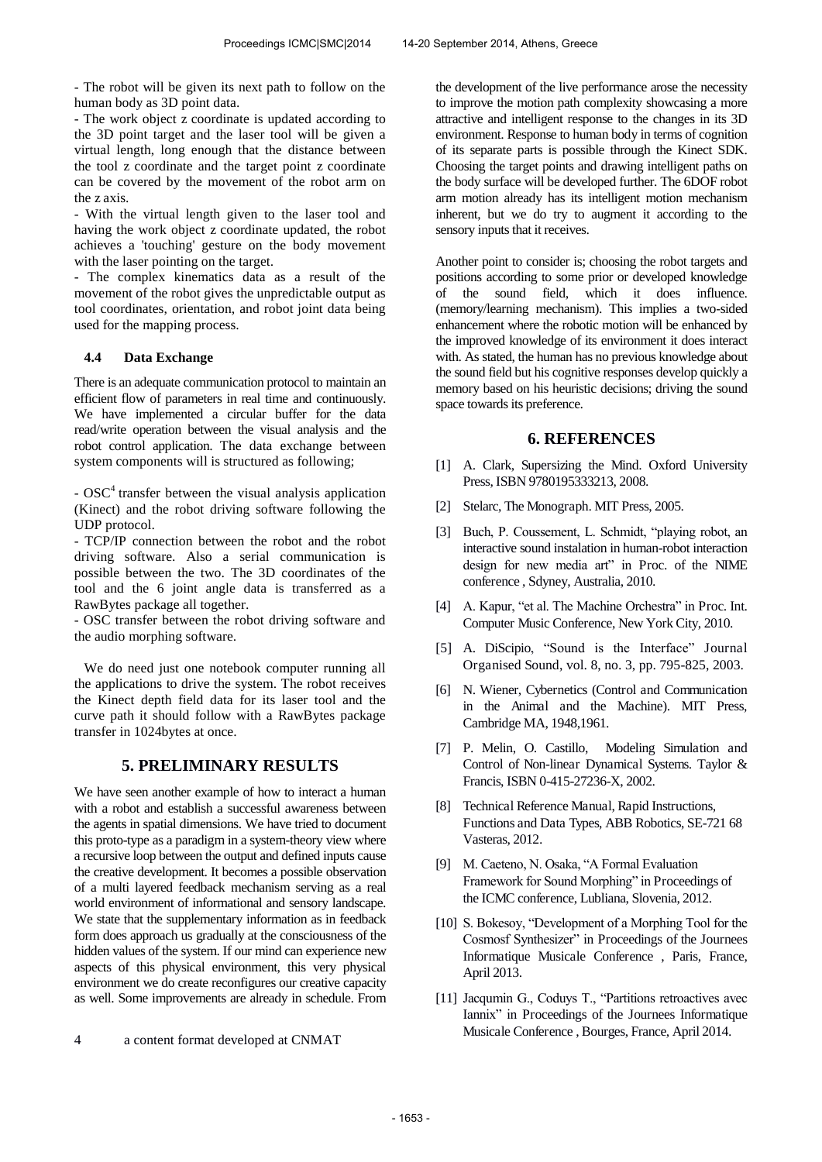- The robot will be given its next path to follow on the human body as 3D point data.

- The work object z coordinate is updated according to the 3D point target and the laser tool will be given a virtual length, long enough that the distance between the tool z coordinate and the target point z coordinate can be covered by the movement of the robot arm on the z axis.

- With the virtual length given to the laser tool and having the work object z coordinate updated, the robot achieves a 'touching' gesture on the body movement with the laser pointing on the target.

- The complex kinematics data as a result of the movement of the robot gives the unpredictable output as tool coordinates, orientation, and robot joint data being used for the mapping process.

## **4.4 Data Exchange**

There is an adequate communication protocol to maintain an efficient flow of parameters in real time and continuously. We have implemented a circular buffer for the data read/write operation between the visual analysis and the robot control application. The data exchange between system components will is structured as following;

- OSC<sup>4</sup> transfer between the visual analysis application (Kinect) and the robot driving software following the UDP protocol.

- TCP/IP connection between the robot and the robot driving software. Also a serial communication is possible between the two. The 3D coordinates of the tool and the 6 joint angle data is transferred as a RawBytes package all together.

- OSC transfer between the robot driving software and the audio morphing software.

We do need just one notebook computer running all the applications to drive the system. The robot receives the Kinect depth field data for its laser tool and the curve path it should follow with a RawBytes package transfer in 1024bytes at once.

## **5. PRELIMINARY RESULTS**

We have seen another example of how to interact a human with a robot and establish a successful awareness between the agents in spatial dimensions. We have tried to document this proto-type as a paradigm in a system-theory view where a recursive loop between the output and defined inputs cause the creative development. It becomes a possible observation of a multi layered feedback mechanism serving as a real world environment of informational and sensory landscape. We state that the supplementary information as in feedback form does approach us gradually at the consciousness of the hidden values of the system. If our mind can experience new aspects of this physical environment, this very physical environment we do create reconfigures our creative capacity as well. Some improvements are already in schedule. From

the development of the live performance arose the necessity to improve the motion path complexity showcasing a more attractive and intelligent response to the changes in its 3D environment. Response to human body in terms of cognition of its separate parts is possible through the Kinect SDK. Choosing the target points and drawing intelligent paths on the body surface will be developed further. The 6DOF robot arm motion already has its intelligent motion mechanism inherent, but we do try to augment it according to the sensory inputs that it receives.

Another point to consider is; choosing the robot targets and positions according to some prior or developed knowledge of the sound field, which it does influence. (memory/learning mechanism). This implies a two-sided enhancement where the robotic motion will be enhanced by the improved knowledge of its environment it does interact with. As stated, the human has no previous knowledge about the sound field but his cognitive responses develop quickly a memory based on his heuristic decisions; driving the sound space towards its preference.

## **6. REFERENCES**

- [1] A. Clark, Supersizing the Mind. Oxford University Press, ISBN 9780195333213, 2008.
- [2] Stelarc, The Monograph. MIT Press, 2005.
- [3] Buch, P. Coussement, L. Schmidt, "playing robot, an interactive sound instalation in human-robot interaction design for new media art" in Proc. of the NIME conference , Sdyney, Australia, 2010.
- [4] A. Kapur, "et al. The Machine Orchestra" in Proc. Int. Computer Music Conference, New York City, 2010.
- [5] A. DiScipio, "Sound is the Interface" Journal Organised Sound, vol. 8, no. 3, pp. 795-825, 2003.
- [6] N. Wiener, Cybernetics (Control and Communication in the Animal and the Machine). MIT Press, Cambridge MA, 1948,1961.
- [7] P. Melin, O. Castillo, Modeling Simulation and Control of Non-linear Dynamical Systems. Taylor & Francis, ISBN 0-415-27236-X, 2002.
- [8] Technical Reference Manual, Rapid Instructions, Functions and Data Types, ABB Robotics, SE-721 68 Vasteras, 2012.
- [9] M. Caeteno, N. Osaka, "A Formal Evaluation Framework for Sound Morphing" in Proceedings of the ICMC conference, Lubliana, Slovenia, 2012.
- [10] S. Bokesoy, "Development of a Morphing Tool for the Cosmosf Synthesizer" in Proceedings of the Journees Informatique Musicale Conference , Paris, France, April 2013.
- [11] Jacqumin G., Coduys T., "Partitions retroactives avec Iannix" in Proceedings of the Journees Informatique Musicale Conference , Bourges, France, April 2014.